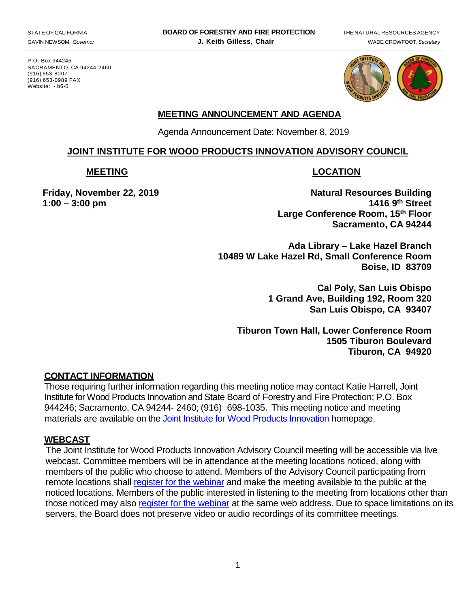P.O. Box 944246 SACRAMENTO, CA 94244-2460 (916) 653-8007 (916) 653-0989 FAX Website: <u>[-](http://www.bof.fire.ca.gov/) b6-0</u>



# **MEETING ANNOUNCEMENT AND AGENDA**

Agenda Announcement Date: November 8, 2019

#### **JOINT INSTITUTE FOR WOOD PRODUCTS INNOVATION ADVISORY COUNCIL**

#### **MEETING LOCATION**

**Friday, November 22, 2019** Natural Resources Building **1:00 – 3:00 pm 1416 9th Street Large Conference Room, 15th Floor Sacramento, CA 94244** 

> **Ada Library – Lake Hazel Branch 10489 W Lake Hazel Rd, Small Conference Room Boise, ID 83709**

> > **Cal Poly, San Luis Obispo 1 Grand Ave, Building 192, Room 320 San Luis Obispo, CA 93407**

**Tiburon Town Hall, Lower Conference Room 1505 Tiburon Boulevard Tiburon, CA 94920** 

### **CONTACT INFORMATION**

 Those requiring further information regarding this meeting notice may contact Katie Harrell, Joint Institute for Wood Products Innovation and State Board of Forestry and Fire Protection; P.O. Box 944246; Sacramento, CA 94244- 2460; (916) 698-1035. This meeting notice and meeting materials are available on the **Joint Institute for Wood Products Innovation** homepage.

### **WEBCAST**

 The Joint Institute for Wood Products Innovation Advisory Council meeting will be accessible via live webcast. Committee members will be in attendance at the meeting locations noticed, along with remote locations shall **register for the webinar** and make the meeting available to the public at the members of the public who choose to attend. Members of the Advisory Council participating from noticed locations. Members of the public interested in listening to the meeting from locations other than those noticed may also [register for the webinar](https://attendee.gotowebinar.com/register/2947488709813795852) at the same web address. Due to space limitations on its servers, the Board does not preserve video or audio recordings of its committee meetings.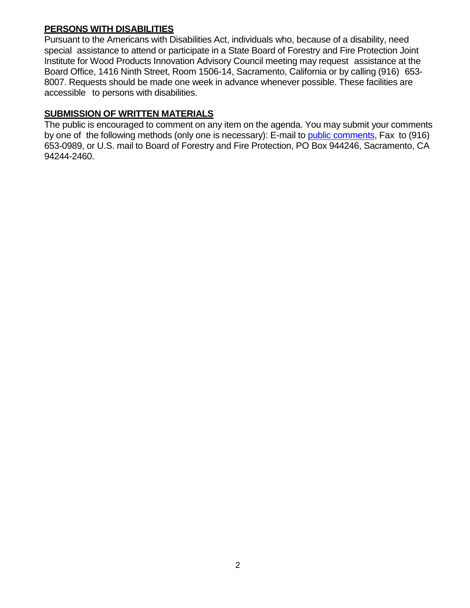## **PERSONS WITH DISABILITIES**

 Pursuant to the Americans with Disabilities Act, individuals who, because of a disability, need special assistance to attend or participate in a State Board of Forestry and Fire Protection Joint Institute for Wood Products Innovation Advisory Council meeting may request assistance at the Board Office, 1416 Ninth Street, Room 1506-14, Sacramento, California or by calling (916) 653 8007. Requests should be made one week in advance whenever possible. These facilities are accessible to persons with disabilities.

## **SUBMISSION OF WRITTEN MATERIALS**

 The public is encouraged to comment on any item on the agenda. You may submit your comments by one of the following methods (only one is necessary): E-mail to **public comments**, Fax to (916) 653-0989, or U.S. mail to Board of Forestry and Fire Protection, PO Box 944246, Sacramento, CA 94244-2460.